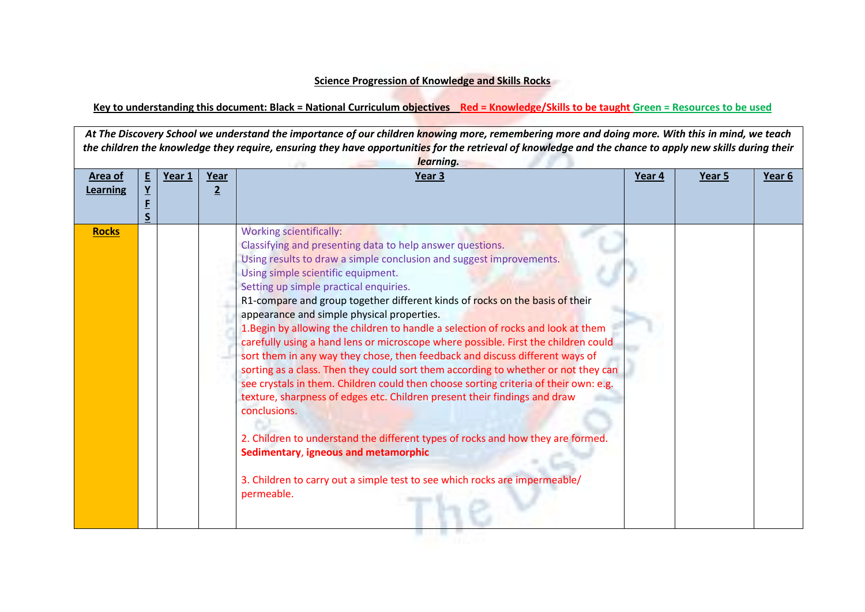## **Science Progression of Knowledge and Skills Rocks**

**Key to understanding this document: Black = National Curriculum objectives Red = Knowledge/Skills to be taught Green = Resources to be used**

*At The Discovery School we understand the importance of our children knowing more, remembering more and doing more. With this in mind, we teach the children the knowledge they require, ensuring they have opportunities for the retrieval of knowledge and the chance to apply new skills during their learning.* **Area of Learning E Y F S Year 1 Year 2 Year 3 Year 4 Year 5 Year 6 Rocks** Norking scientifically: Classifying and presenting data to help answer questions. Using results to draw a simple conclusion and suggest improvements. Using simple scientific equipment. Setting up simple practical enquiries. R1-compare and group together different kinds of rocks on the basis of their appearance and simple physical properties. 1.Begin by allowing the children to handle a selection of rocks and look at them carefully using a hand lens or microscope where possible. First the children could sort them in any way they chose, then feedback and discuss different ways of sorting as a class. Then they could sort them according to whether or not they can see crystals in them. Children could then choose sorting criteria of their own: e.g. texture, sharpness of edges etc. Children present their findings and draw conclusions. 2. Children to understand the different types of rocks and how they are formed. **Sedimentary**, **igneous and metamorphic** 3. Children to carry out a simple test to see which rocks are impermeable/ permeable.

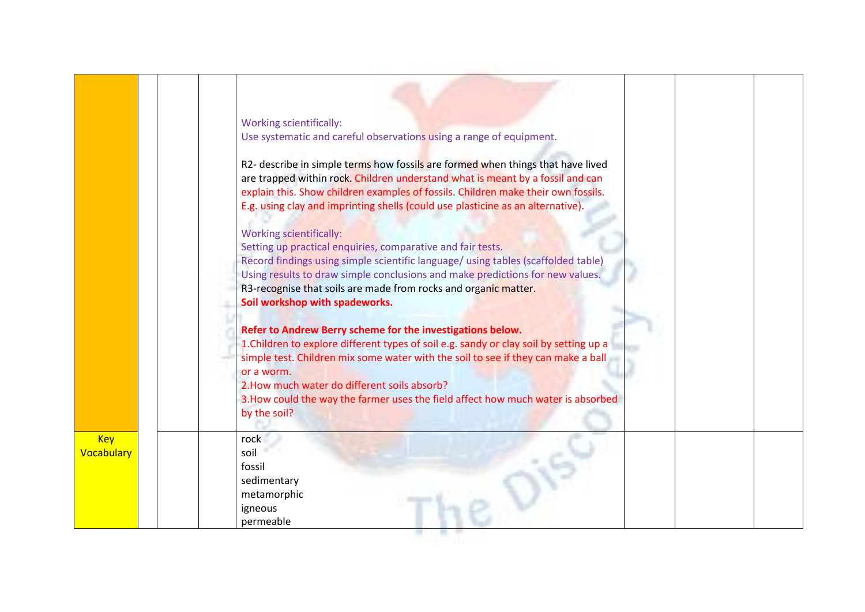